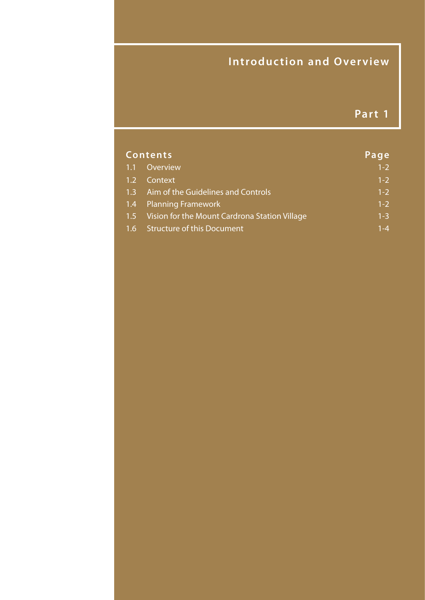## **Introduction and Overview**

## **Part 1**

| <b>Contents</b> |                                                   | Page    |
|-----------------|---------------------------------------------------|---------|
|                 | 1.1 Overview                                      | $1 - 2$ |
|                 | 1.2 Context                                       | $1 - 2$ |
|                 | 1.3 Aim of the Guidelines and Controls            | $1 - 2$ |
|                 | 1.4 Planning Framework                            | $1 - 2$ |
|                 | 1.5 Vision for the Mount Cardrona Station Village | $1 - 3$ |
|                 | 1.6 Structure of this Document                    | $1 - 4$ |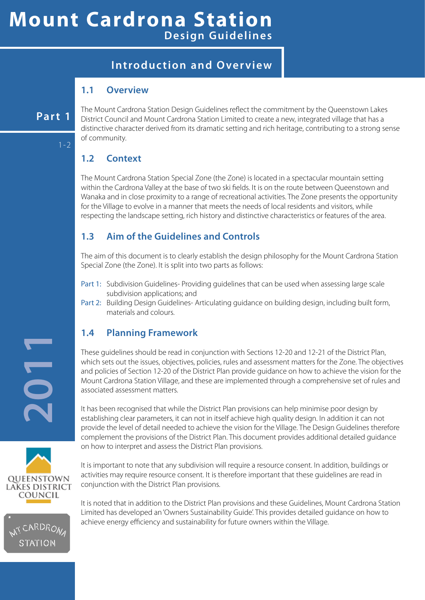## **Mount Cardrona Station Design Guidelines**

## **Introduction and Overview**

#### **1.1 Overview**

#### **Part 1**

1-2

The Mount Cardrona Station Design Guidelines reflect the commitment by the Queenstown Lakes District Council and Mount Cardrona Station Limited to create a new, integrated village that has a distinctive character derived from its dramatic setting and rich heritage, contributing to a strong sense of community.

### **1.2 Context**

The Mount Cardrona Station Special Zone (the Zone) is located in a spectacular mountain setting within the Cardrona Valley at the base of two ski fields. It is on the route between Queenstown and Wanaka and in close proximity to a range of recreational activities. The Zone presents the opportunity for the Village to evolve in a manner that meets the needs of local residents and visitors, while respecting the landscape setting, rich history and distinctive characteristics or features of the area.

#### **1.3 Aim of the Guidelines and Controls**

The aim of this document is to clearly establish the design philosophy for the Mount Cardrona Station Special Zone (the Zone). It is split into two parts as follows:

- Part 1: Subdivision Guidelines- Providing guidelines that can be used when assessing large scale subdivision applications; and
- Part 2: Building Design Guidelines- Articulating guidance on building design, including built form, materials and colours.

#### **1.4 Planning Framework**

These guidelines should be read in conjunction with Sections 12-20 and 12-21 of the District Plan, which sets out the issues, objectives, policies, rules and assessment matters for the Zone. The objectives and policies of Section 12-20 of the District Plan provide guidance on how to achieve the vision for the Mount Cardrona Station Village, and these are implemented through a comprehensive set of rules and associated assessment matters.

It has been recognised that while the District Plan provisions can help minimise poor design by establishing clear parameters, it can not in itself achieve high quality design. In addition it can not provide the level of detail needed to achieve the vision for the Village. The Design Guidelines therefore complement the provisions of the District Plan. This document provides additional detailed guidance on how to interpret and assess the District Plan provisions.

It is important to note that any subdivision will require a resource consent. In addition, buildings or activities may require resource consent. It is therefore important that these guidelines are read in conjunction with the District Plan provisions.

It is noted that in addition to the District Plan provisions and these Guidelines, Mount Cardrona Station Limited has developed an 'Owners Sustainability Guide'. This provides detailed guidance on how to achieve energy efficiency and sustainability for future owners within the Village.

**2011**



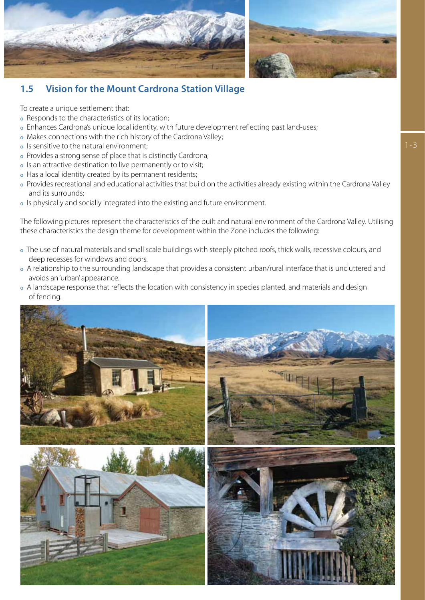



#### **1.5 Vision for the Mount Cardrona Station Village**

To create a unique settlement that:

- o Responds to the characteristics of its location;
- o Enhances Cardrona's unique local identity, with future development reflecting past land-uses;
- o Makes connections with the rich history of the Cardrona Valley;
- o Is sensitive to the natural environment;
- o Provides a strong sense of place that is distinctly Cardrona;
- o Is an attractive destination to live permanently or to visit;
- o Has a local identity created by its permanent residents;
- o Provides recreational and educational activities that build on the activities already existing within the Cardrona Valley and its surrounds;
- o Is physically and socially integrated into the existing and future environment.

The following pictures represent the characteristics of the built and natural environment of the Cardrona Valley. Utilising these characteristics the design theme for development within the Zone includes the following:

- o The use of natural materials and small scale buildings with steeply pitched roofs, thick walls, recessive colours, and deep recesses for windows and doors.
- o A relationship to the surrounding landscape that provides a consistent urban/rural interface that is uncluttered and avoids an 'urban' appearance.
- o A landscape response that reflects the location with consistency in species planted, and materials and design of fencing.